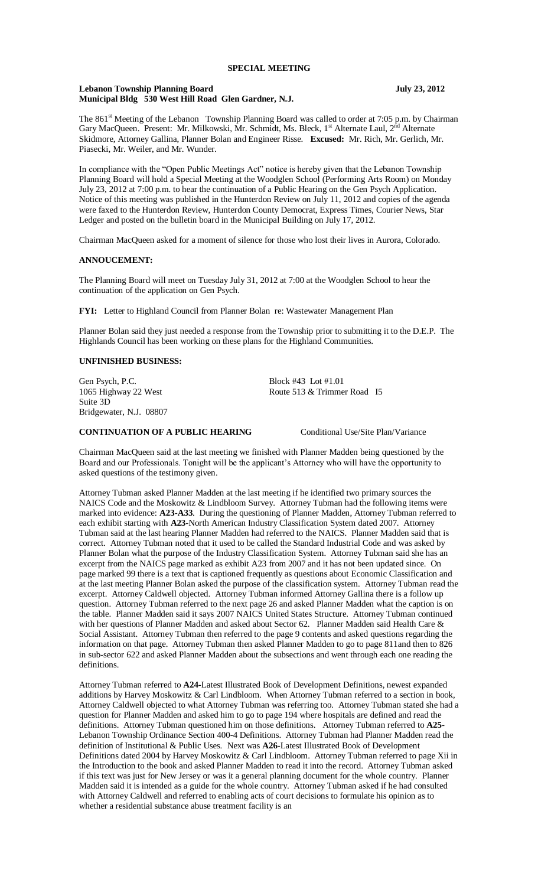### **Lebanon Township Planning Board July 23, 2012 Municipal Bldg 530 West Hill Road Glen Gardner, N.J.**

The 861<sup>st</sup> Meeting of the Lebanon Township Planning Board was called to order at 7:05 p.m. by Chairman Gary MacQueen. Present: Mr. Milkowski, Mr. Schmidt, Ms. Bleck, 1<sup>st</sup> Alternate Laul, 2<sup>nd</sup> Alternate Skidmore, Attorney Gallina, Planner Bolan and Engineer Risse. **Excused:** Mr. Rich, Mr. Gerlich, Mr. Piasecki, Mr. Weiler, and Mr. Wunder.

In compliance with the "Open Public Meetings Act" notice is hereby given that the Lebanon Township Planning Board will hold a Special Meeting at the Woodglen School (Performing Arts Room) on Monday July 23, 2012 at 7:00 p.m. to hear the continuation of a Public Hearing on the Gen Psych Application. Notice of this meeting was published in the Hunterdon Review on July 11, 2012 and copies of the agenda were faxed to the Hunterdon Review, Hunterdon County Democrat, Express Times, Courier News, Star Ledger and posted on the bulletin board in the Municipal Building on July 17, 2012.

Chairman MacQueen asked for a moment of silence for those who lost their lives in Aurora, Colorado.

#### **ANNOUCEMENT:**

The Planning Board will meet on Tuesday July 31, 2012 at 7:00 at the Woodglen School to hear the continuation of the application on Gen Psych.

**FYI:** Letter to Highland Council from Planner Bolan re: Wastewater Management Plan

Planner Bolan said they just needed a response from the Township prior to submitting it to the D.E.P. The Highlands Council has been working on these plans for the Highland Communities.

## **UNFINISHED BUSINESS:**

Gen Psych, P.C. Block #43 Lot #1.01 1065 Highway 22 West Route 513 & Trimmer Road I5 Suite 3D Bridgewater, N.J. 08807

## **CONTINUATION OF A PUBLIC HEARING** Conditional Use/Site Plan/Variance

Chairman MacQueen said at the last meeting we finished with Planner Madden being questioned by the Board and our Professionals. Tonight will be the applicant's Attorney who will have the opportunity to asked questions of the testimony given.

Attorney Tubman asked Planner Madden at the last meeting if he identified two primary sources the NAICS Code and the Moskowitz & Lindbloom Survey. Attorney Tubman had the following items were marked into evidence: **A23-A33**. During the questioning of Planner Madden, Attorney Tubman referred to each exhibit starting with **A23-**North American Industry Classification System dated 2007. Attorney Tubman said at the last hearing Planner Madden had referred to the NAICS. Planner Madden said that is correct. Attorney Tubman noted that it used to be called the Standard Industrial Code and was asked by Planner Bolan what the purpose of the Industry Classification System. Attorney Tubman said she has an excerpt from the NAICS page marked as exhibit A23 from 2007 and it has not been updated since. On page marked 99 there is a text that is captioned frequently as questions about Economic Classification and at the last meeting Planner Bolan asked the purpose of the classification system. Attorney Tubman read the excerpt. Attorney Caldwell objected. Attorney Tubman informed Attorney Gallina there is a follow up question. Attorney Tubman referred to the next page 26 and asked Planner Madden what the caption is on the table. Planner Madden said it says 2007 NAICS United States Structure. Attorney Tubman continued with her questions of Planner Madden and asked about Sector 62. Planner Madden said Health Care & Social Assistant. Attorney Tubman then referred to the page 9 contents and asked questions regarding the information on that page. Attorney Tubman then asked Planner Madden to go to page 811and then to 826 in sub-sector 622 and asked Planner Madden about the subsections and went through each one reading the definitions.

Attorney Tubman referred to **A24-**Latest Illustrated Book of Development Definitions, newest expanded additions by Harvey Moskowitz & Carl Lindbloom. When Attorney Tubman referred to a section in book, Attorney Caldwell objected to what Attorney Tubman was referring too. Attorney Tubman stated she had a question for Planner Madden and asked him to go to page 194 where hospitals are defined and read the definitions. Attorney Tubman questioned him on those definitions. Attorney Tubman referred to **A25-** Lebanon Township Ordinance Section 400-4 Definitions. Attorney Tubman had Planner Madden read the definition of Institutional & Public Uses. Next was **A26**-Latest Illustrated Book of Development Definitions dated 2004 by Harvey Moskowitz & Carl Lindbloom. Attorney Tubman referred to page Xii in the Introduction to the book and asked Planner Madden to read it into the record. Attorney Tubman asked if this text was just for New Jersey or was it a general planning document for the whole country. Planner Madden said it is intended as a guide for the whole country. Attorney Tubman asked if he had consulted with Attorney Caldwell and referred to enabling acts of court decisions to formulate his opinion as to whether a residential substance abuse treatment facility is an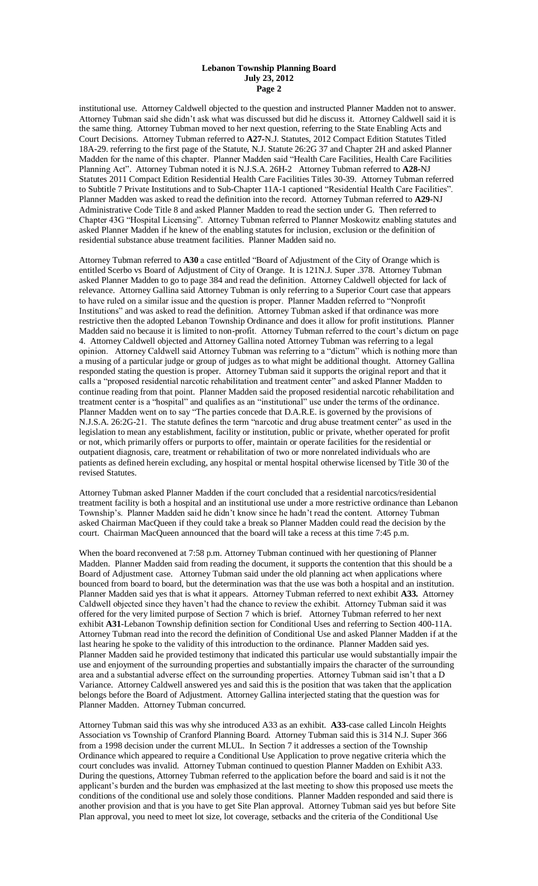institutional use. Attorney Caldwell objected to the question and instructed Planner Madden not to answer. Attorney Tubman said she didn't ask what was discussed but did he discuss it. Attorney Caldwell said it is the same thing. Attorney Tubman moved to her next question, referring to the State Enabling Acts and Court Decisions. Attorney Tubman referred to **A27-**N.J. Statutes, 2012 Compact Edition Statutes Titled 18A-29. referring to the first page of the Statute, N.J. Statute 26:2G 37 and Chapter 2H and asked Planner Madden for the name of this chapter. Planner Madden said "Health Care Facilities, Health Care Facilities Planning Act". Attorney Tubman noted it is N.J.S.A. 26H-2 Attorney Tubman referred to **A28-**NJ Statutes 2011 Compact Edition Residential Health Care Facilities Titles 30-39. Attorney Tubman referred to Subtitle 7 Private Institutions and to Sub-Chapter 11A-1 captioned "Residential Health Care Facilities". Planner Madden was asked to read the definition into the record. Attorney Tubman referred to **A29-**NJ Administrative Code Title 8 and asked Planner Madden to read the section under G. Then referred to Chapter 43G "Hospital Licensing". Attorney Tubman referred to Planner Moskowitz enabling statutes and asked Planner Madden if he knew of the enabling statutes for inclusion, exclusion or the definition of residential substance abuse treatment facilities. Planner Madden said no.

Attorney Tubman referred to **A30** a case entitled "Board of Adjustment of the City of Orange which is entitled Scerbo vs Board of Adjustment of City of Orange. It is 121N.J. Super .378. Attorney Tubman asked Planner Madden to go to page 384 and read the definition. Attorney Caldwell objected for lack of relevance. Attorney Gallina said Attorney Tubman is only referring to a Superior Court case that appears to have ruled on a similar issue and the question is proper. Planner Madden referred to "Nonprofit Institutions" and was asked to read the definition. Attorney Tubman asked if that ordinance was more restrictive then the adopted Lebanon Township Ordinance and does it allow for profit institutions. Planner Madden said no because it is limited to non-profit. Attorney Tubman referred to the court's dictum on page 4. Attorney Caldwell objected and Attorney Gallina noted Attorney Tubman was referring to a legal opinion. Attorney Caldwell said Attorney Tubman was referring to a "dictum" which is nothing more than a musing of a particular judge or group of judges as to what might be additional thought. Attorney Gallina responded stating the question is proper. Attorney Tubman said it supports the original report and that it calls a "proposed residential narcotic rehabilitation and treatment center" and asked Planner Madden to continue reading from that point. Planner Madden said the proposed residential narcotic rehabilitation and treatment center is a "hospital" and qualifies as an "institutional" use under the terms of the ordinance. Planner Madden went on to say "The parties concede that D.A.R.E. is governed by the provisions of N.J.S.A. 26:2G-21. The statute defines the term "narcotic and drug abuse treatment center" as used in the legislation to mean any establishment, facility or institution, public or private, whether operated for profit or not, which primarily offers or purports to offer, maintain or operate facilities for the residential or outpatient diagnosis, care, treatment or rehabilitation of two or more nonrelated individuals who are patients as defined herein excluding, any hospital or mental hospital otherwise licensed by Title 30 of the revised Statutes.

Attorney Tubman asked Planner Madden if the court concluded that a residential narcotics/residential treatment facility is both a hospital and an institutional use under a more restrictive ordinance than Lebanon Township's. Planner Madden said he didn't know since he hadn't read the content. Attorney Tubman asked Chairman MacQueen if they could take a break so Planner Madden could read the decision by the court. Chairman MacQueen announced that the board will take a recess at this time 7:45 p.m.

When the board reconvened at 7:58 p.m. Attorney Tubman continued with her questioning of Planner Madden. Planner Madden said from reading the document, it supports the contention that this should be a Board of Adjustment case. Attorney Tubman said under the old planning act when applications where bounced from board to board, but the determination was that the use was both a hospital and an institution. Planner Madden said yes that is what it appears. Attorney Tubman referred to next exhibit **A33.** Attorney Caldwell objected since they haven't had the chance to review the exhibit. Attorney Tubman said it was offered for the very limited purpose of Section 7 which is brief. Attorney Tubman referred to her next exhibit **A31**-Lebanon Township definition section for Conditional Uses and referring to Section 400-11A. Attorney Tubman read into the record the definition of Conditional Use and asked Planner Madden if at the last hearing he spoke to the validity of this introduction to the ordinance. Planner Madden said yes. Planner Madden said he provided testimony that indicated this particular use would substantially impair the use and enjoyment of the surrounding properties and substantially impairs the character of the surrounding area and a substantial adverse effect on the surrounding properties. Attorney Tubman said isn't that a D Variance. Attorney Caldwell answered yes and said this is the position that was taken that the application belongs before the Board of Adjustment. Attorney Gallina interjected stating that the question was for Planner Madden. Attorney Tubman concurred.

Attorney Tubman said this was why she introduced A33 as an exhibit. **A33**-case called Lincoln Heights Association vs Township of Cranford Planning Board. Attorney Tubman said this is 314 N.J. Super 366 from a 1998 decision under the current MLUL. In Section 7 it addresses a section of the Township Ordinance which appeared to require a Conditional Use Application to prove negative criteria which the court concludes was invalid. Attorney Tubman continued to question Planner Madden on Exhibit A33. During the questions, Attorney Tubman referred to the application before the board and said is it not the applicant's burden and the burden was emphasized at the last meeting to show this proposed use meets the conditions of the conditional use and solely those conditions. Planner Madden responded and said there is another provision and that is you have to get Site Plan approval. Attorney Tubman said yes but before Site Plan approval, you need to meet lot size, lot coverage, setbacks and the criteria of the Conditional Use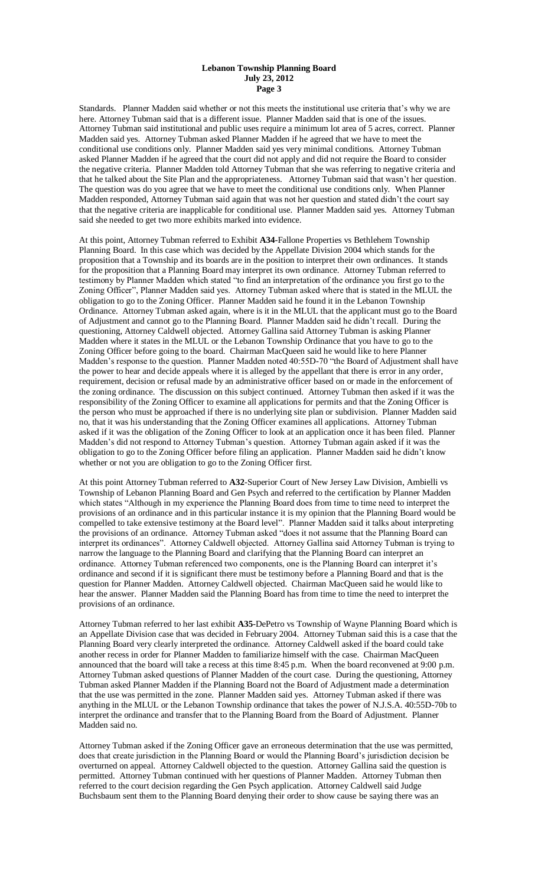Standards. Planner Madden said whether or not this meets the institutional use criteria that's why we are here. Attorney Tubman said that is a different issue. Planner Madden said that is one of the issues. Attorney Tubman said institutional and public uses require a minimum lot area of 5 acres, correct. Planner Madden said yes. Attorney Tubman asked Planner Madden if he agreed that we have to meet the conditional use conditions only. Planner Madden said yes very minimal conditions. Attorney Tubman asked Planner Madden if he agreed that the court did not apply and did not require the Board to consider the negative criteria. Planner Madden told Attorney Tubman that she was referring to negative criteria and that he talked about the Site Plan and the appropriateness. Attorney Tubman said that wasn't her question. The question was do you agree that we have to meet the conditional use conditions only. When Planner Madden responded, Attorney Tubman said again that was not her question and stated didn't the court say that the negative criteria are inapplicable for conditional use. Planner Madden said yes. Attorney Tubman said she needed to get two more exhibits marked into evidence.

At this point, Attorney Tubman referred to Exhibit **A34**-Fallone Properties vs Bethlehem Township Planning Board. In this case which was decided by the Appellate Division 2004 which stands for the proposition that a Township and its boards are in the position to interpret their own ordinances. It stands for the proposition that a Planning Board may interpret its own ordinance. Attorney Tubman referred to testimony by Planner Madden which stated "to find an interpretation of the ordinance you first go to the Zoning Officer", Planner Madden said yes. Attorney Tubman asked where that is stated in the MLUL the obligation to go to the Zoning Officer. Planner Madden said he found it in the Lebanon Township Ordinance. Attorney Tubman asked again, where is it in the MLUL that the applicant must go to the Board of Adjustment and cannot go to the Planning Board. Planner Madden said he didn't recall. During the questioning, Attorney Caldwell objected. Attorney Gallina said Attorney Tubman is asking Planner Madden where it states in the MLUL or the Lebanon Township Ordinance that you have to go to the Zoning Officer before going to the board. Chairman MacQueen said he would like to here Planner Madden's response to the question. Planner Madden noted 40:55D-70 "the Board of Adjustment shall have the power to hear and decide appeals where it is alleged by the appellant that there is error in any order, requirement, decision or refusal made by an administrative officer based on or made in the enforcement of the zoning ordinance. The discussion on this subject continued. Attorney Tubman then asked if it was the responsibility of the Zoning Officer to examine all applications for permits and that the Zoning Officer is the person who must be approached if there is no underlying site plan or subdivision. Planner Madden said no, that it was his understanding that the Zoning Officer examines all applications. Attorney Tubman asked if it was the obligation of the Zoning Officer to look at an application once it has been filed. Planner Madden's did not respond to Attorney Tubman's question. Attorney Tubman again asked if it was the obligation to go to the Zoning Officer before filing an application. Planner Madden said he didn't know whether or not you are obligation to go to the Zoning Officer first.

At this point Attorney Tubman referred to **A32**-Superior Court of New Jersey Law Division, Ambielli vs Township of Lebanon Planning Board and Gen Psych and referred to the certification by Planner Madden which states "Although in my experience the Planning Board does from time to time need to interpret the provisions of an ordinance and in this particular instance it is my opinion that the Planning Board would be compelled to take extensive testimony at the Board level". Planner Madden said it talks about interpreting the provisions of an ordinance. Attorney Tubman asked "does it not assume that the Planning Board can interpret its ordinances". Attorney Caldwell objected. Attorney Gallina said Attorney Tubman is trying to narrow the language to the Planning Board and clarifying that the Planning Board can interpret an ordinance. Attorney Tubman referenced two components, one is the Planning Board can interpret it's ordinance and second if it is significant there must be testimony before a Planning Board and that is the question for Planner Madden. Attorney Caldwell objected. Chairman MacQueen said he would like to hear the answer. Planner Madden said the Planning Board has from time to time the need to interpret the provisions of an ordinance.

Attorney Tubman referred to her last exhibit **A35**-DePetro vs Township of Wayne Planning Board which is an Appellate Division case that was decided in February 2004. Attorney Tubman said this is a case that the Planning Board very clearly interpreted the ordinance. Attorney Caldwell asked if the board could take another recess in order for Planner Madden to familiarize himself with the case. Chairman MacQueen announced that the board will take a recess at this time 8:45 p.m. When the board reconvened at 9:00 p.m. Attorney Tubman asked questions of Planner Madden of the court case. During the questioning, Attorney Tubman asked Planner Madden if the Planning Board not the Board of Adjustment made a determination that the use was permitted in the zone. Planner Madden said yes. Attorney Tubman asked if there was anything in the MLUL or the Lebanon Township ordinance that takes the power of N.J.S.A. 40:55D-70b to interpret the ordinance and transfer that to the Planning Board from the Board of Adjustment. Planner Madden said no.

Attorney Tubman asked if the Zoning Officer gave an erroneous determination that the use was permitted, does that create jurisdiction in the Planning Board or would the Planning Board's jurisdiction decision be overturned on appeal. Attorney Caldwell objected to the question. Attorney Gallina said the question is permitted. Attorney Tubman continued with her questions of Planner Madden. Attorney Tubman then referred to the court decision regarding the Gen Psych application. Attorney Caldwell said Judge Buchsbaum sent them to the Planning Board denying their order to show cause be saying there was an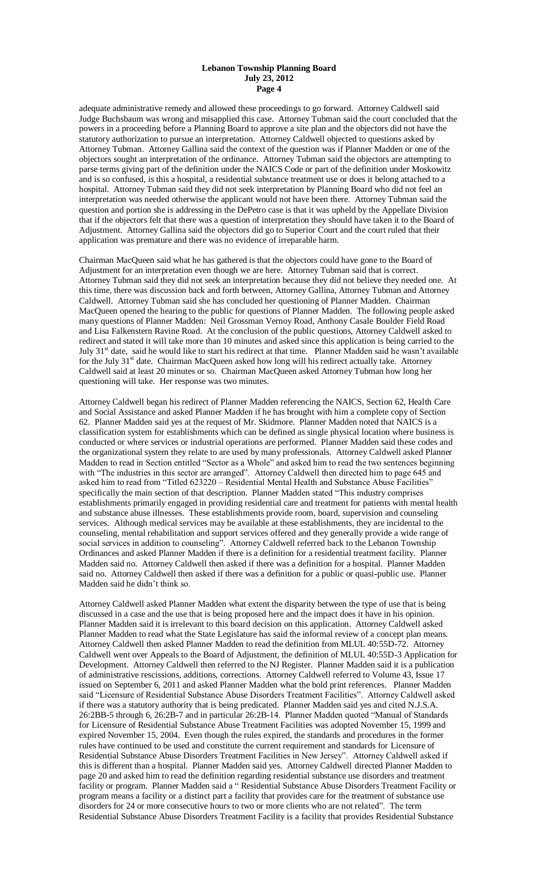adequate administrative remedy and allowed these proceedings to go forward. Attorney Caldwell said Judge Buchsbaum was wrong and misapplied this case. Attorney Tubman said the court concluded that the powers in a proceeding before a Planning Board to approve a site plan and the objectors did not have the statutory authorization to pursue an interpretation. Attorney Caldwell objected to questions asked by Attorney Tubman. Attorney Gallina said the context of the question was if Planner Madden or one of the objectors sought an interpretation of the ordinance. Attorney Tubman said the objectors are attempting to parse terms giving part of the definition under the NAICS Code or part of the definition under Moskowitz and is so confused, is this a hospital, a residential substance treatment use or does it belong attached to a hospital. Attorney Tubman said they did not seek interpretation by Planning Board who did not feel an interpretation was needed otherwise the applicant would not have been there. Attorney Tubman said the question and portion she is addressing in the DePetro case is that it was upheld by the Appellate Division that if the objectors felt that there was a question of interpretation they should have taken it to the Board of Adjustment. Attorney Gallina said the objectors did go to Superior Court and the court ruled that their application was premature and there was no evidence of irreparable harm.

Chairman MacQueen said what he has gathered is that the objectors could have gone to the Board of Adjustment for an interpretation even though we are here. Attorney Tubman said that is correct. Attorney Tubman said they did not seek an interpretation because they did not believe they needed one. At this time, there was discussion back and forth between, Attorney Gallina, Attorney Tubman and Attorney Caldwell. Attorney Tubman said she has concluded her questioning of Planner Madden. Chairman MacQueen opened the hearing to the public for questions of Planner Madden. The following people asked many questions of Planner Madden: Neil Grossman Vernoy Road, Anthony Casale Boulder Field Road and Lisa Falkenstern Ravine Road. At the conclusion of the public questions, Attorney Caldwell asked to redirect and stated it will take more than 10 minutes and asked since this application is being carried to the July 31<sup>st</sup> date, said he would like to start his redirect at that time. Planner Madden said he wasn't available for the July 31<sup>st</sup> date. Chairman MacQueen asked how long will his redirect actually take. Attorney Caldwell said at least 20 minutes or so. Chairman MacQueen asked Attorney Tubman how long her questioning will take. Her response was two minutes.

Attorney Caldwell began his redirect of Planner Madden referencing the NAICS, Section 62, Health Care and Social Assistance and asked Planner Madden if he has brought with him a complete copy of Section 62. Planner Madden said yes at the request of Mr. Skidmore. Planner Madden noted that NAICS is a classification system for establishments which can be defined as single physical location where business is conducted or where services or industrial operations are performed. Planner Madden said these codes and the organizational system they relate to are used by many professionals. Attorney Caldwell asked Planner Madden to read in Section entitled "Sector as a Whole" and asked him to read the two sentences beginning with "The industries in this sector are arranged". Attorney Caldwell then directed him to page 645 and asked him to read from "Titled 623220 – Residential Mental Health and Substance Abuse Facilities" specifically the main section of that description. Planner Madden stated "This industry comprises establishments primarily engaged in providing residential care and treatment for patients with mental health and substance abuse illnesses. These establishments provide room, board, supervision and counseling services. Although medical services may be available at these establishments, they are incidental to the counseling, mental rehabilitation and support services offered and they generally provide a wide range of social services in addition to counseling". Attorney Caldwell referred back to the Lebanon Township Ordinances and asked Planner Madden if there is a definition for a residential treatment facility. Planner Madden said no. Attorney Caldwell then asked if there was a definition for a hospital. Planner Madden said no. Attorney Caldwell then asked if there was a definition for a public or quasi-public use. Planner Madden said he didn't think so.

Attorney Caldwell asked Planner Madden what extent the disparity between the type of use that is being discussed in a case and the use that is being proposed here and the impact does it have in his opinion. Planner Madden said it is irrelevant to this board decision on this application. Attorney Caldwell asked Planner Madden to read what the State Legislature has said the informal review of a concept plan means. Attorney Caldwell then asked Planner Madden to read the definition from MLUL 40:55D-72. Attorney Caldwell went over Appeals to the Board of Adjustment, the definition of MLUL 40:55D-3 Application for Development. Attorney Caldwell then referred to the NJ Register. Planner Madden said it is a publication of administrative rescissions, additions, corrections. Attorney Caldwell referred to Volume 43, Issue 17 issued on September 6, 2011 and asked Planner Madden what the bold print references. Planner Madden said "Licensure of Residential Substance Abuse Disorders Treatment Facilities". Attorney Caldwell asked if there was a statutory authority that is being predicated. Planner Madden said yes and cited N.J.S.A. 26:2BB-5 through 6, 26:2B-7 and in particular 26:2B-14. Planner Madden quoted "Manual of Standards for Licensure of Residential Substance Abuse Treatment Facilities was adopted November 15, 1999 and expired November 15, 2004. Even though the rules expired, the standards and procedures in the former rules have continued to be used and constitute the current requirement and standards for Licensure of Residential Substance Abuse Disorders Treatment Facilities in New Jersey". Attorney Caldwell asked if this is different than a hospital. Planner Madden said yes. Attorney Caldwell directed Planner Madden to page 20 and asked him to read the definition regarding residential substance use disorders and treatment facility or program. Planner Madden said a " Residential Substance Abuse Disorders Treatment Facility or program means a facility or a distinct part a facility that provides care for the treatment of substance use disorders for 24 or more consecutive hours to two or more clients who are not related". The term Residential Substance Abuse Disorders Treatment Facility is a facility that provides Residential Substance